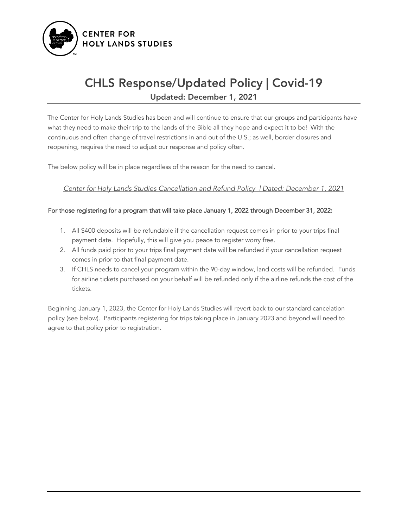

## CHLS Response/Updated Policy | Covid-19 Updated: December 1, 2021

The Center for Holy Lands Studies has been and will continue to ensure that our groups and participants have what they need to make their trip to the lands of the Bible all they hope and expect it to be! With the continuous and often change of travel restrictions in and out of the U.S.; as well, border closures and reopening, requires the need to adjust our response and policy often.

The below policy will be in place regardless of the reason for the need to cancel.

*Center for Holy Lands Studies Cancellation and Refund Policy | Dated: December 1, 2021*

### For those registering for a program that will take place January 1, 2022 through December 31, 2022:

- 1. All \$400 deposits will be refundable if the cancellation request comes in prior to your trips final payment date. Hopefully, this will give you peace to register worry free.
- 2. All funds paid prior to your trips final payment date will be refunded if your cancellation request comes in prior to that final payment date.
- 3. If CHLS needs to cancel your program within the 90-day window, land costs will be refunded. Funds for airline tickets purchased on your behalf will be refunded only if the airline refunds the cost of the tickets.

Beginning January 1, 2023, the Center for Holy Lands Studies will revert back to our standard cancelation policy (see below). Participants registering for trips taking place in January 2023 and beyond will need to agree to that policy prior to registration.